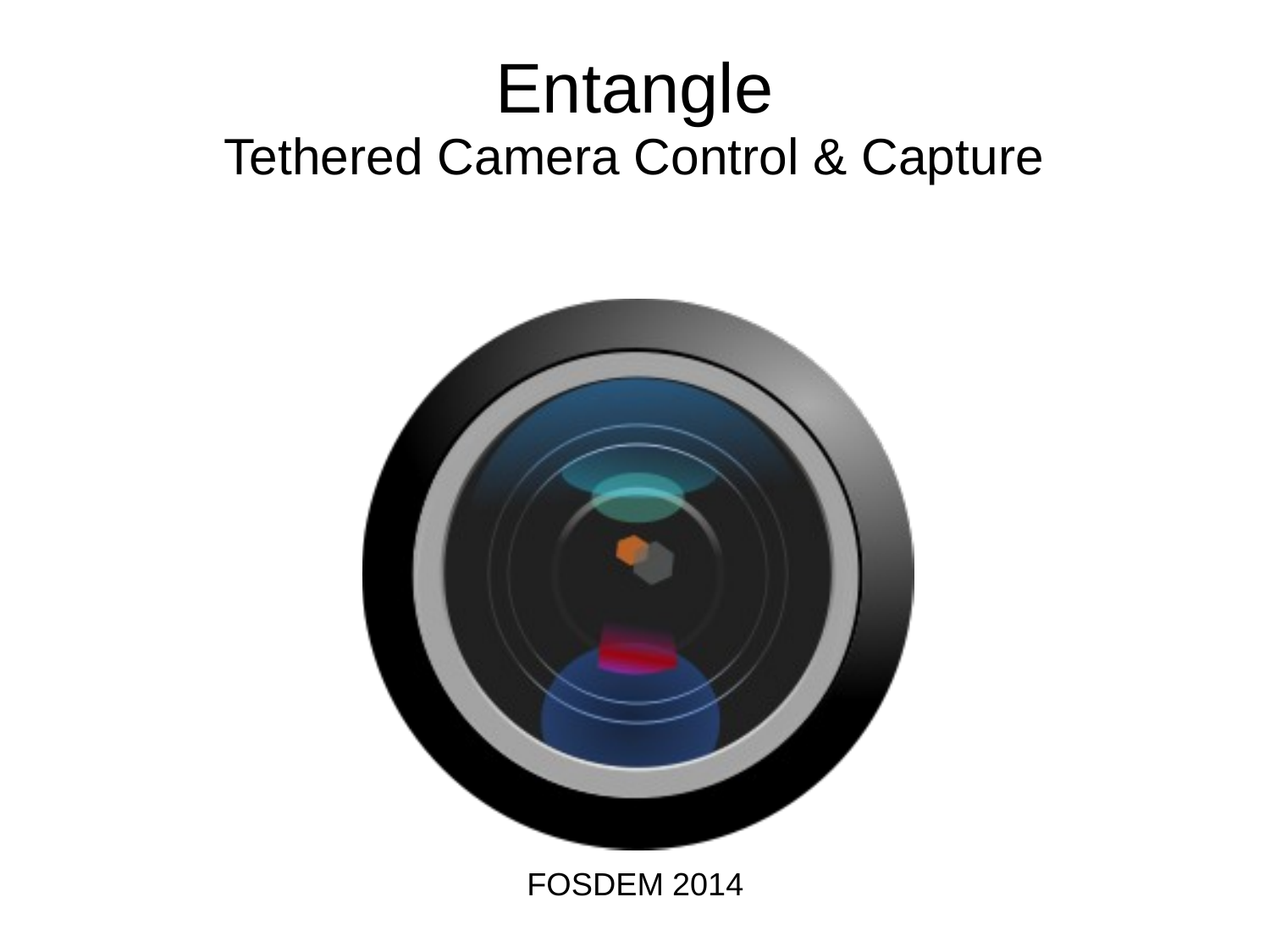#### Entangle Tethered Camera Control & Capture



FOSDEM 2014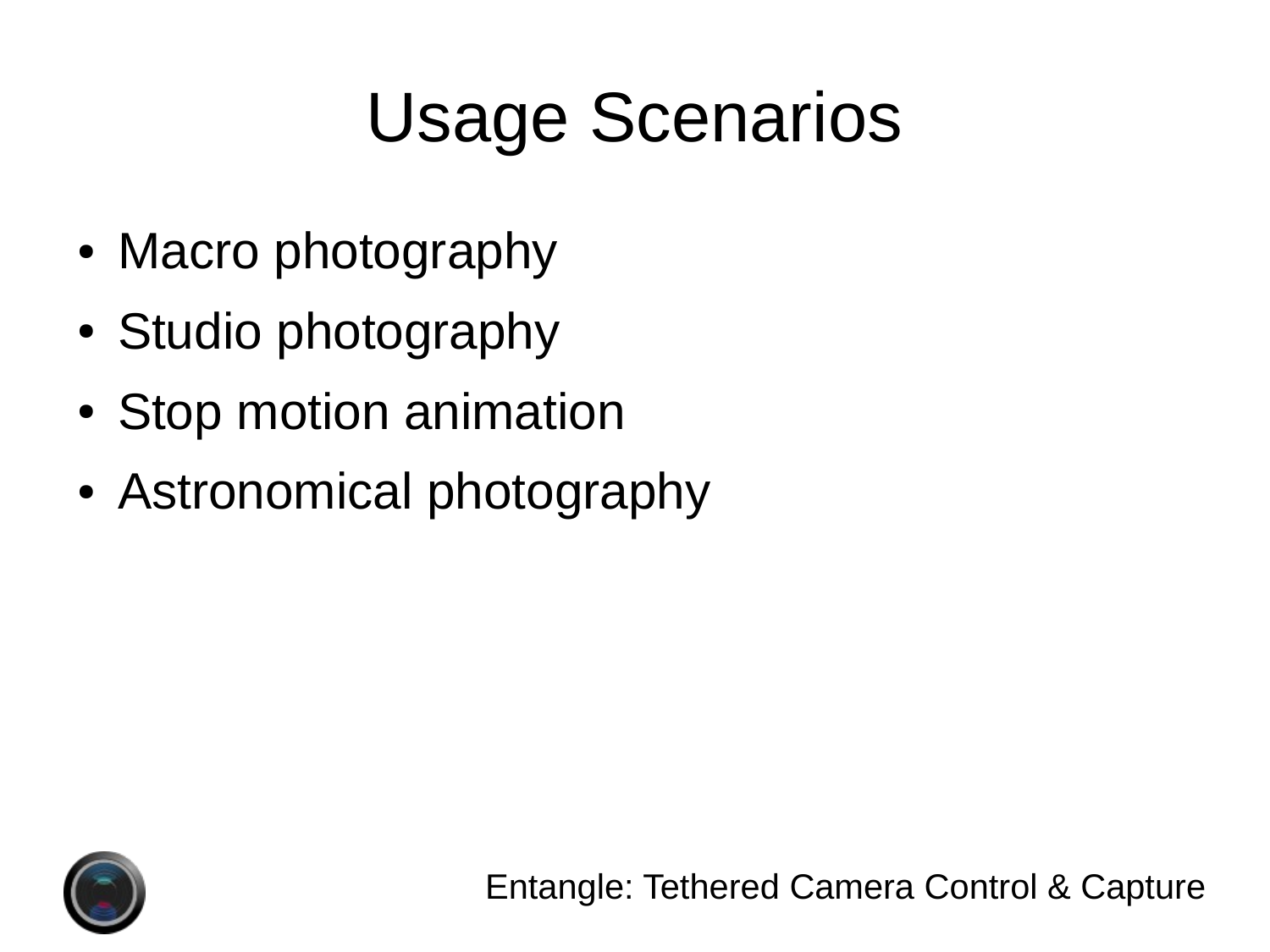# Usage Scenarios

- Macro photography
- Studio photography
- Stop motion animation
- Astronomical photography

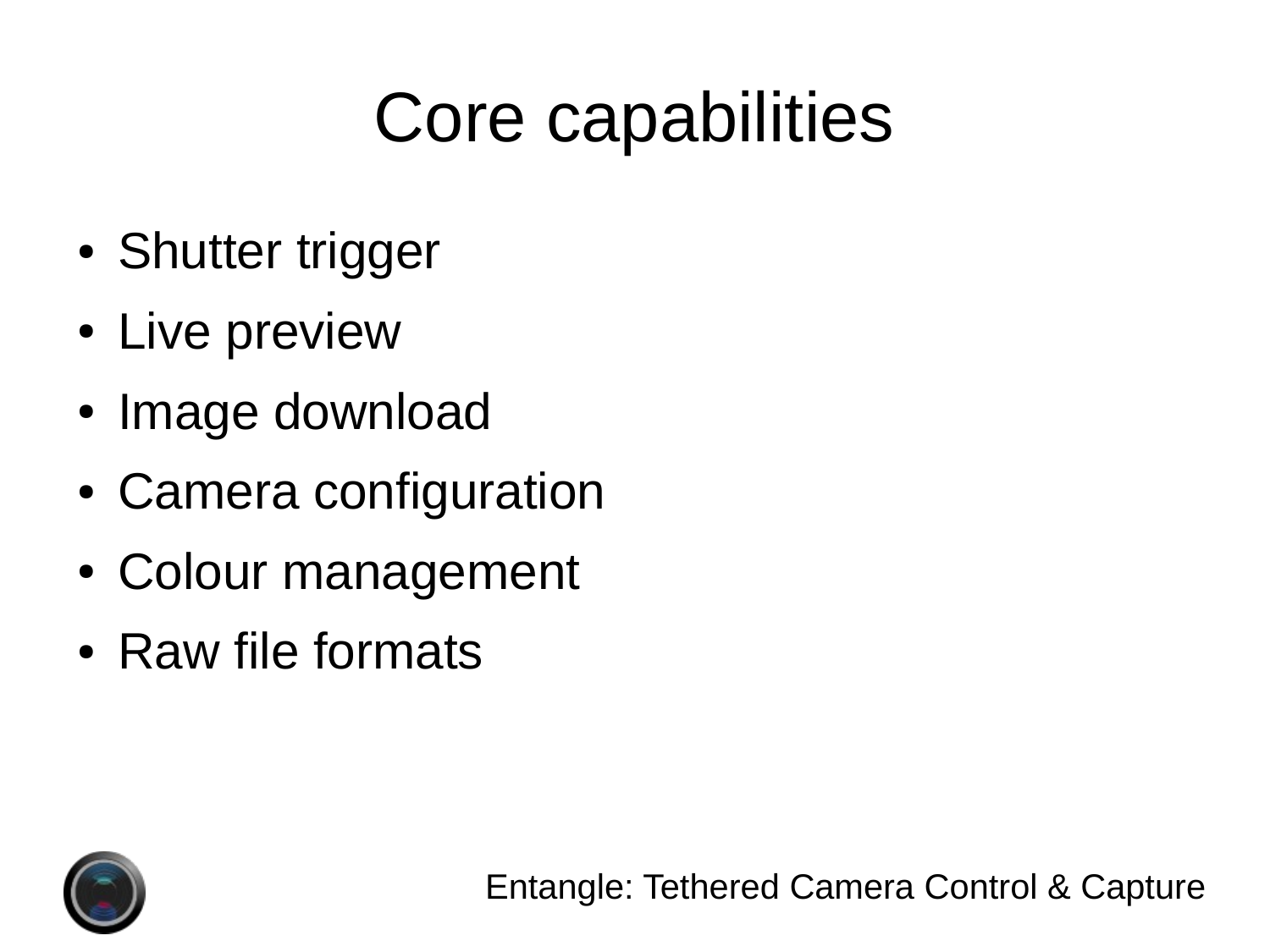# Core capabilities

- Shutter trigger
- Live preview
- Image download
- Camera configuration
- Colour management
- Raw file formats

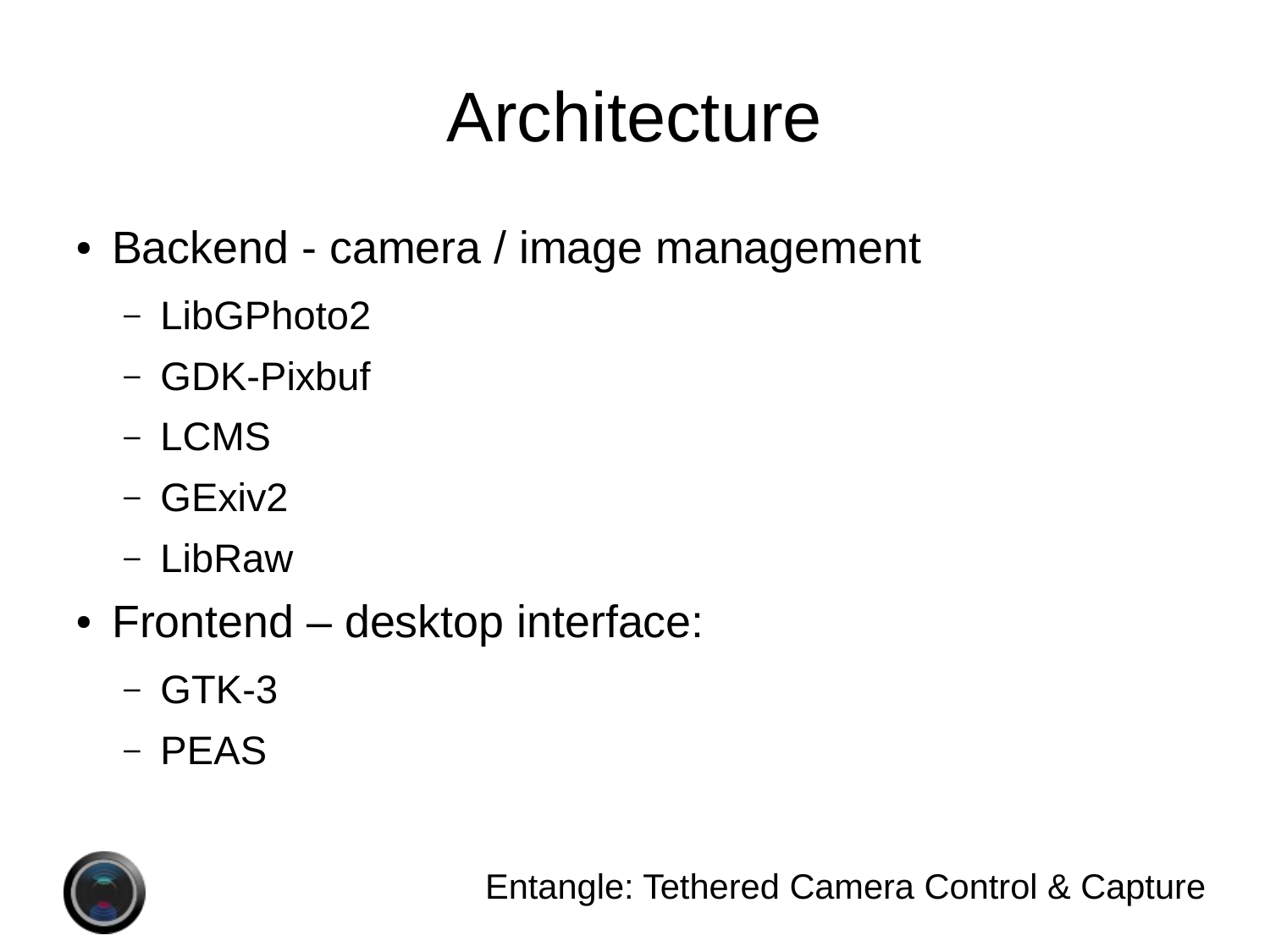# Architecture

- Backend camera / image management
	- LibGPhoto2
	- GDK-Pixbuf
	- LCMS
	- GExiv2
	- LibRaw
- Frontend desktop interface:
	- GTK-3
	- PEAS

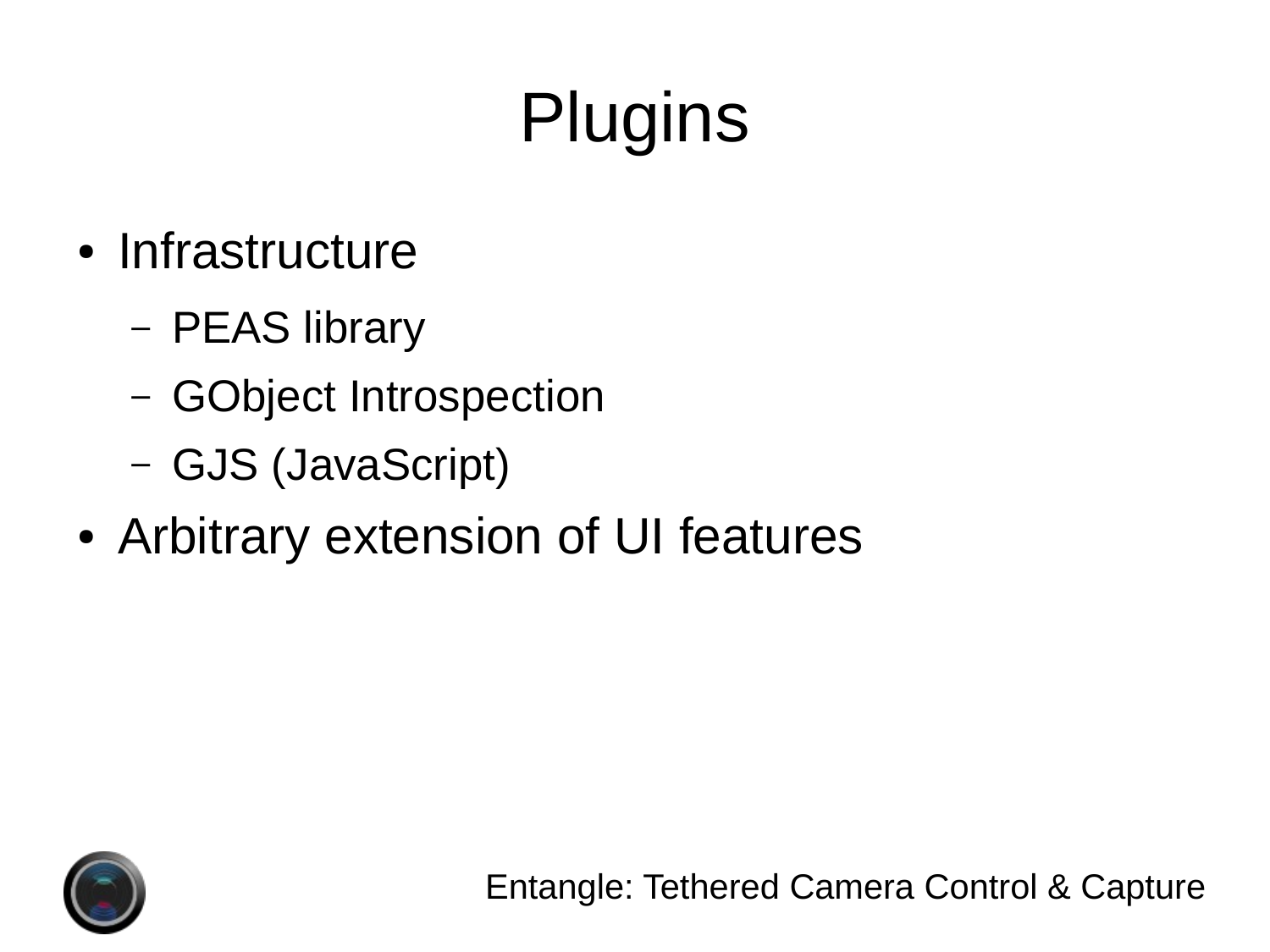# **Plugins**

- Infrastructure
	- PEAS library
	- GObject Introspection
	- GJS (JavaScript)
- Arbitrary extension of UI features

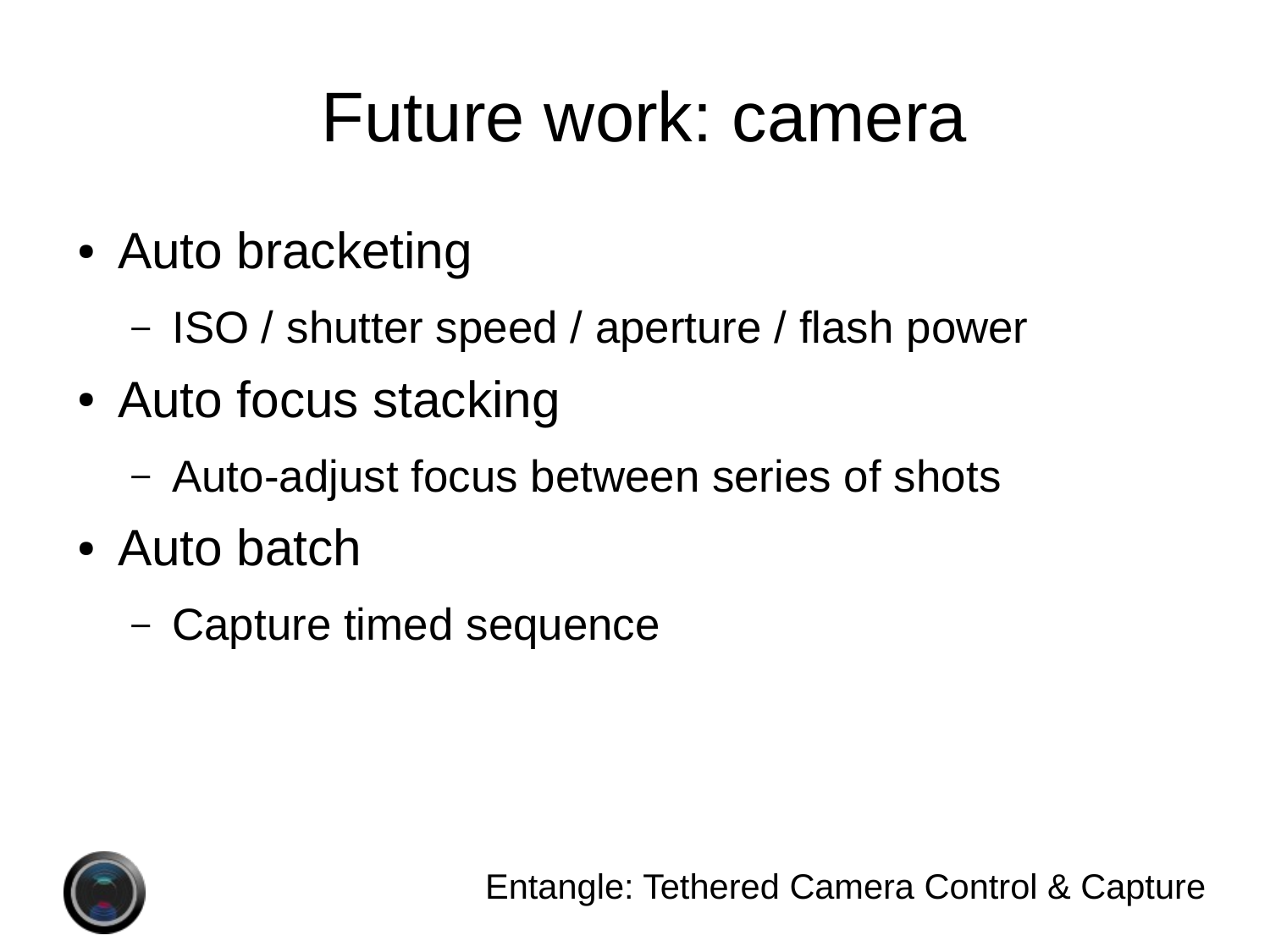### Future work: camera

- Auto bracketing
	- ISO / shutter speed / aperture / flash power
- Auto focus stacking
	- Auto-adjust focus between series of shots
- Auto batch
	- Capture timed sequence

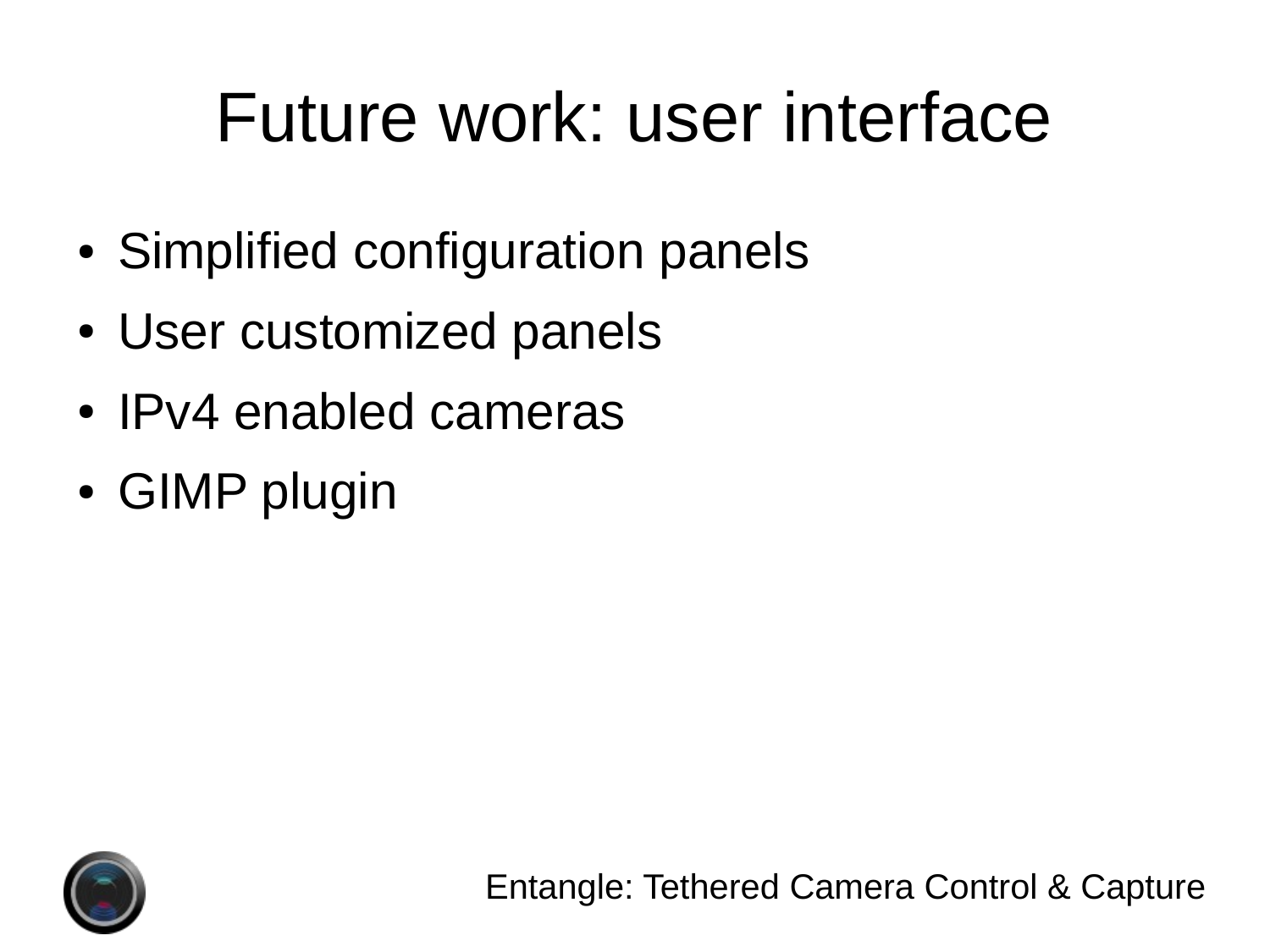# Future work: user interface

- Simplified configuration panels
- User customized panels
- IPv4 enabled cameras
- GIMP plugin

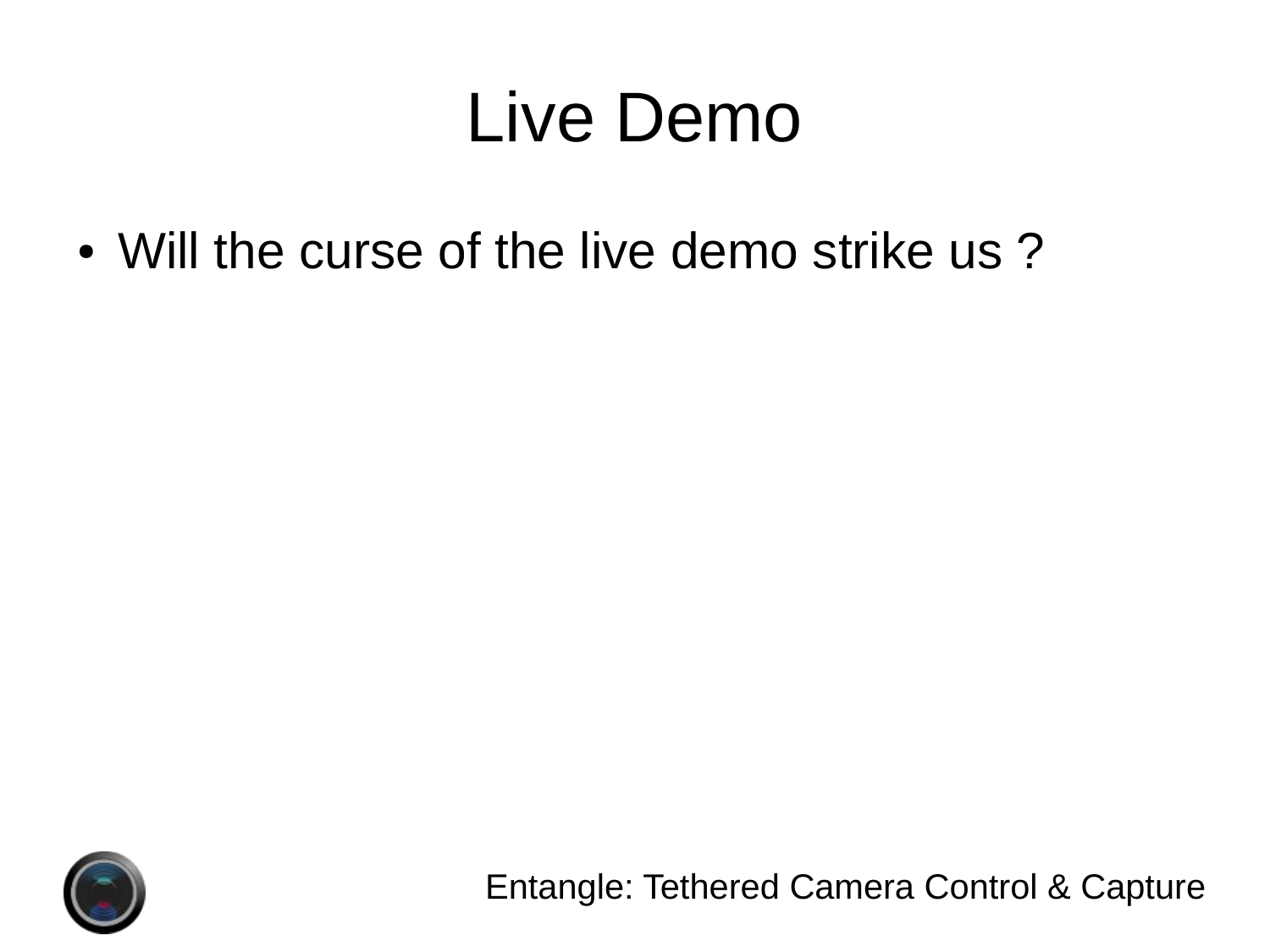# Live Demo

• Will the curse of the live demo strike us?



Entangle: Tethered Camera Control & Capture